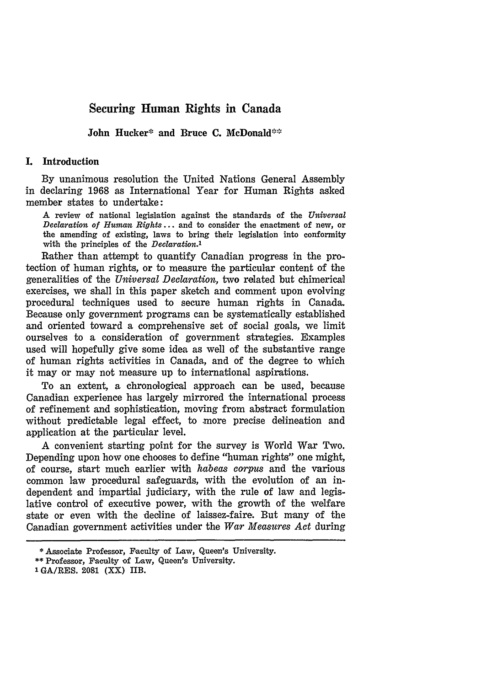# Securing Human Rights in Canada

John Hucker\* and Bruce **C.** McDonald'\*

#### **I.** Introduction

**By** unanimous resolution the United Nations General Assembly in declaring **1968** as International Year for Human Rights asked member states to undertake:

A review of national legislation against the standards of the *Universal Declaration of Human Rights* **...** and to consider the enactment of new, or the amending of existing, laws to bring their legislation into conformity with the principles of the *Declaration.1*

Rather than attempt to quantify Canadian progress in the protection of human rights, or to measure the particular content of the generalities of the *Universal Declaration,* two related but chimerical exercises, we shall in this paper sketch and comment upon evolving procedural techniques used to secure human rights in Canada. Because only government programs can be systematically established and oriented toward a comprehensive set of social goals, we limit ourselves to a consideration of government strategies. Examples used will hopefully give some idea as well of the substantive range of human rights activities in Canada, and of the degree to which it may or may not measure up to international aspirations.

To an extent, a chronological approach can be used, because Canadian experience has largely mirrored the international process of refinement and sophistication, moving from abstract formulation without predictable legal effect, to more precise delineation and application at the particular level.

A convenient starting point for the survey is World War Two. Depending upon how one chooses to define "human rights" one might, of course, start much earlier with *habeas corpus* and the various common law procedural safeguards, with the evolution of an independent and impartial judiciary, with the rule of law and legislative control of executive power, with the growth of the welfare state or even with the decline of laissez-faire. But many of the Canadian government activities under the *War Measures Act* during

<sup>\*</sup> Associate Professor, Faculty of Law, Queen's University.

<sup>\*\*</sup> Professor, Faculty of Law, Queen's University.

**<sup>1</sup> GA/RES.** 2081 (XX) IIB.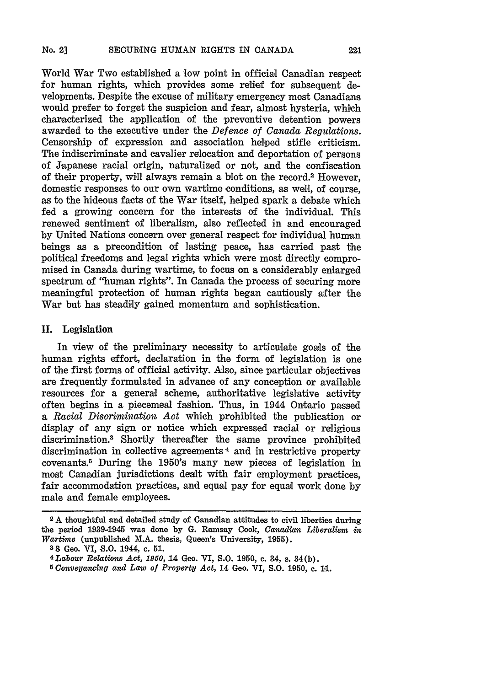World War Two established a low point in official Canadian respect for human rights, which provides some relief for subsequent developments. Despite the excuse of military emergency most Canadians would prefer to forget the suspicion and fear, almost hysteria, which characterized the application of the preventive detention powers awarded to the executive under the *Defence of Canada Regulations.* Censorship of expression and association helped stifle criticism. The indiscriminate and cavalier relocation and deportation of persons of Japanese racial origin, naturalized or not, and the confiscation of their property, will always remain a blot on the record.2 However, domestic responses to our own wartime conditions, as well, of course, as to the hideous facts of the War itself, helped spark a debate which fed a growing concern for the interests of the individual. This renewed sentiment of liberalism, also reflected in and encouraged by United Nations concern over general respect for individual human beings as a precondition of lasting peace, has carried past the political freedoms and legal rights which were most directly compromised in Canada during wartime, to focus on a considerably enlarged spectrum of "human rights". In Oanada the process of securing more meaningful protection of human rights began cautiously after the War but has steadily gained momentum and sophistication.

### **II.** Legislation

In view of the preliminary necessity to articulate goals of the human rights effort, declaration in the form of legislation is one of the first forms of official activity. Also, since particular objectives are frequently formulated in advance of any conception or available resources for a general scheme, authoritative legislative activity often begins in a piecemeal fashion. Thus, in 1944 Ontario passed a *Racial Discrimination Act* which prohibited the publication or display of any sign or notice which expressed racial or religious discrimination.3 Shortly thereafter the same province prohibited discrimination in collective agreements 4 and in restrictive property covenants.5 During the 1950's many new pieces of legislation in most Canadian jurisdictions dealt with fair employment practices, fair accommodation practices, and equal pay for equal work done by male and female employees.

**3 8** Geo. VI, **S.O.** 1944, c. **51.**

**<sup>2</sup> A** thoughtful and detailed study of Canadian attitudes to civil liberties during the period 1939-1945 was done by G. Ramsay Cook, *Canadian Liberalism in* Wartime (unpublished M.A. thesis, Queen's University, **1955).**

*<sup>4</sup> Labour Relations Act, 1950,* **14 Geo. VI, S.O. 1950, c. 34, s.** 34(b).

*<sup>5</sup> Conveyancing and Law of Property Act,* 14 Geo. VI, **S.O. 1950, c. 1a.**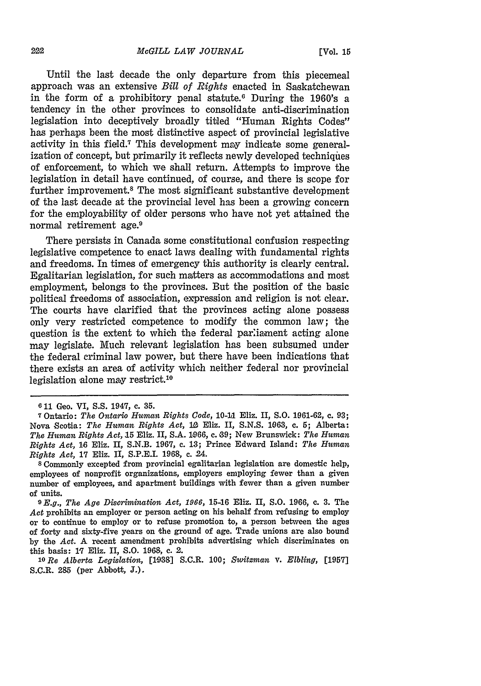Until the last decade the only departure from this piecemeal approach was an extensive *Bill of Rights* enacted in Saskatchewan in the form of a prohibitory penal statute.6 During the 1960's a tendency in the other provinces to consolidate anti-discrimination legislation into deceptively broadly titled "Human Rights Codes" has perhaps been the most distinctive aspect of provincial legislative activity in this field.<sup>7</sup> This development may indicate some generalization of concept, but primarily it reflects newly developed techniques of enforcement, to which we shall return. Attempts to improve the legislation in detail have continued, of course, and there is scope for further improvement.8 The most significant substantive development of the last decade at the provincial level has been a growing concern for the employability of older persons who have not yet attained the normal retirement age.<sup>9</sup>

There persists in Canada some constitutional confusion respecting legislative competence to enact laws dealing with fundamental rights and freedoms. In times of emergency this authority is clearly central. Egalitarian legislation, for such matters as accommodations and most employment, belongs to the provinces. But the position of the basic political freedoms of association, expression and religion is not clear. The courts have clarified that the provinces acting alone possess only very restricted competence to modify the common law; the question is the extent to which the federal parliament acting alone may legislate. Much relevant legislation has been subsumed under the federal criminal law power, but there have been indications that there exists an area of activity which neither federal nor provincial legislation alone may restrict.10

**<sup>6 11</sup>** Ceo. VI, **S.S.** 1947, **c. 35.**

**<sup>7</sup>**Ontario: *The Ontario Human Rights Code, 10-11* Eliz. II, **S.O. 1961-62, c. 93;** Nova Scotia: *The Human Rights Act,* **10** Eliz. II, **S.N.S. 1063,** c. **5;** Alberta: *The Human Rights Act,* 15 Eliz. II, **S.A. 1966,** c. **99;** New Brunswick: *The Human Rights Act,* **16** Eliz. II, **S.N.B. 1967,** c. **13;** Prince Edward Island: *The Human Rights Act,* **17** Eliz. II, **S.P.E.I. 1968,** c. 24.

**<sup>8</sup>** Commonly excepted from provincial egalitarian legislation are domestic help, employees of nonprofit organizations, employers employing fewer than **a** given number of employees, and apartment buildings with fewer than a given number of units.

*<sup>9</sup>E.g., The Age Discrimination Act, 1966,* 15-16 Eliz. II, S.O. 1966, c. 3. The *Act* prohibits an employer or person acting on his behalf from refusing to employ or to continue to employ or to refuse promotion to, a person between the ages of forty and sixty-five years on the ground of age. Trade unions are also bound by the *Act.* A recent amendment prohibits advertising which discriminates on this basis: 17 Eliz. II, S.O. 1968, c. 2.

*<sup>10</sup>Re Alberta Legislation,* [1938] S.C.R. 100; *Switzman v. Elbling,* [1957] S.C.R. **285** (per Abbott, **J.).**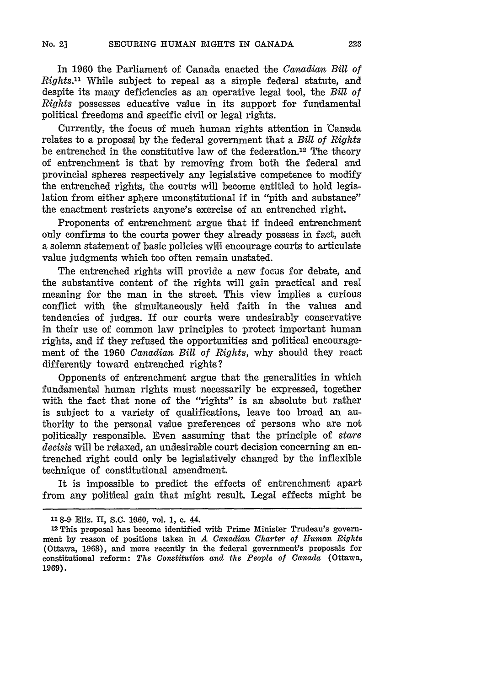In 1960 the Parliament of Canada enacted the *Canadian Bill of Rights."* While subject to repeal as a simple federal statute, and despite its many deficiencies as an operative legal tool, the *Bill of Rights* possesses educative value in its support for fundamental political freedoms and specific civil or legal rights.

Currently, the focus of much human rights attention in 'Canada relates to a proposal by the federal government that a *Bill of Rights* be entrenched in the constitutive law of the federation.12 The theory of entrenchment is that by removing from both the federal and provincial spheres respectively any legislative competence to modify the entrenched rights, the courts will become entitled to hold legislation from either sphere unconstitutional if in "pith and substance" the enactment restricts anyone's exercise of an entrenched right.

Proponents of entrenchment argue that if indeed entrenchment only confirms to the courts power they already possess in fact, such a solemn statement of basic policies will encourage courts to articulate value judgments which too often remain unstated.

The entrenched rights will provide a new focus for debate, and the substantive content of the rights will gain practical and real meaning for the man in the street. This view implies a curious conflict with the simultaneously held faith in the values and tendencies of judges. If our courts were undesirably conservative in their use of common law principles to protect important human rights, and if they refused the opportunities and political encouragement of the 1960 *Canadian Bill of Rights,* why should they react differently toward entrenched rights?

Opponents of entrenchment argue that the generalities in which fundamental human rights must necessarily be expressed, together with the fact that none of the "rights" is an absolute but rather is subject to a variety of qualifications, leave too broad an authority to the personal value preferences of persons who are not politically responsible. Even assuming that the principle of *stare decisis* will be relaxed, an undesirable court decision concerning an entrenched right could only be legislatively changed by the inflexible technique of constitutional amendment.

It is impossible to predict the effects of entrenchment apart from any political gain that might result. Legal effects might be

**<sup>118</sup>** -9 Eliz. II, S.C. **1960,** vol. **1,** c. 44.

**<sup>12</sup>** This proposal has become identified with Prime Minister Trudeau's government by reason of positions taken in *A Canadian Charter of Human Rights* (Ottawa, 1968), and more recently in the federal government's proposals for constitutional reform: *The Constitution and the People of Canada* (Ottawa, 1969).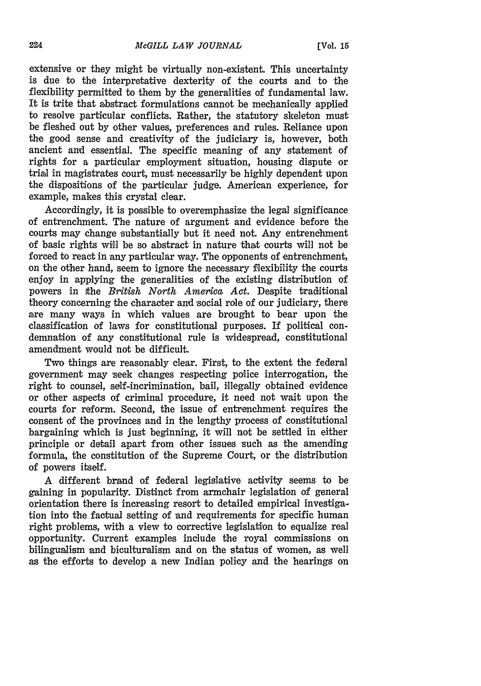extensive or they might be virtually non-existent. This uncertainty is due to the interpretative dexterity of the courts and to the flexibility permitted to them **by** the generalities of fundamental law. It is trite that abstract formulations cannot be mechanically applied to resolve particular conflicts. Rather, the statutory skeleton must be fleshed out **by** other values, preferences and rules. Reliance upon the good sense and creativity of the judiciary is, however, both ancient and essential. The specific meaning of any statement of rights for a particular employment situation, housing dispute or triad in magistrates court, must necessarily be **highly** dependent upon the dispositions of the particular judge. American experience, for example, makes this crystal clear.

Accordingly, it is possible to overemphasize the legal significance of entrenchment. The nature of argument and evidence before the courts may change substantially but it need not. Any entrenchment of basic rights will be so abstract in nature that courts will not be forced to react in any particular way. The opponents of entrenchment, on the other hand, seem to ignore the necessary flexibility the courts enjoy in applying the generalities of the existing distribution of powers in Ithe *British North America Act.* Despite traditional theory concerning the character and social role of our judiciary, there are many ways in which values are brought to bear upon the classification of laws for constitutional purposes. If political condemnation of any constitutional rule is widespread, constitutional amendment would not be difficult.

Two things are reasonably clear. First, to the extent the federal government may seek changes respecting police interrogation, the right to counsel, self-incrimination, bail, illegally obtained evidence or other aspects of criminal procedure, it need not wait upon the courts for reform. Second, the issue of entrenchment requires the consent of the provinces and in the lengthy process of constitutional bargaining which is just beginning, it will not be settled in either principle or detail apart from other issues such as the amending formula, the constitution of the Supreme Court, or the distribution of powers itself.

A different brand of federal legislative activity seems to be gaining in popularity. Distinct from armchair legislation of general orientation there is increasing resort to detailed empirical investigation into the factual setting of and requirements for specific human right problems, with a view to corrective legislation to equalize real opportunity. Current examples include the royal commissions on bilingualism and biculturalism and on the status of women, as well as the efforts to develop a new Indian policy and the hearings on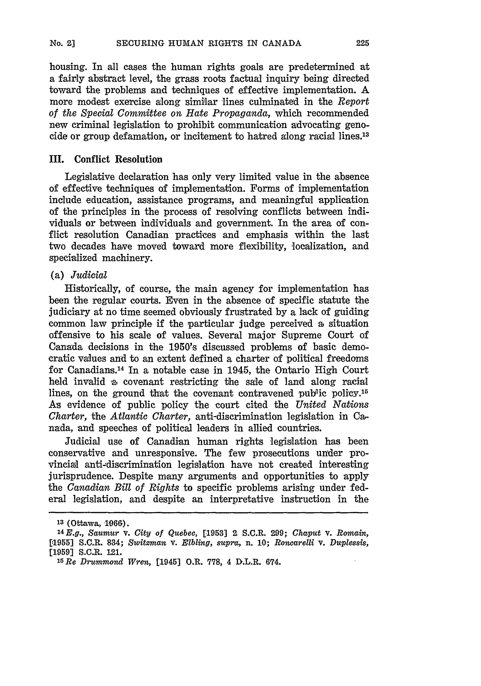housing. In all cases the human rights goals are predetermined at a fairly abstract level, the grass roots factual inquiry being directed toward the problems and techniques of effective implementation. **A** more modest exercise along similar lines culminated in the *Report of the Special Committee on Hate Propaganda,* which recommended new criminal legislation to prohibit communication advocating genocide or group defamation, or incitement to hatred along racial lines.13

#### **III.** Conflict Resolution

Legislative declaration has only very limited value in the absence of effective techniques of implementation. Forms of implementation include education, assistance programs, and meaningful application of the principles in the process of resolving conflicts between individuals or between individuals and government. In the area of conflict resolution Canadian practices and emphasis within the last two decades have moved toward more flexibility, localization, and specialized machinery.

#### (a) *Judicial*

Historically, of course, the main agency for implementation has been the regular courts. Even in the absence of specific statute the judiciary at no time seemed obviously frustrated by a lack of guiding common law principle if the particular judge perceived a situation offensive to his scale of values. Several major Supreme Court of Canada decisions in the 1950's discussed problems of basic democratic values and to an extent defined a charter of political freedoms for Canadians. 14 In a notable case in 1945, the Ontario High Court held invalid a covenant restricting the sale of land along racial lines, on the ground that the covenant contravened public policy.<sup>15</sup> As evidence of public policy the court cited the *United Nations Charter,* the *Atlantic Charter,* anti-discrimination legislation in Canada, and speeches of political leaders in allied countries.

Judicial use of Canadian human rights legislation has been conservative and unresponsive. The few prosecutions under provincial anti-discrimination legislation have not created interesting jurisprudence. Despite many arguments and opportunities to apply the *Canadian Bill of Rights* to specific problems arising under federal legislation, and despite an interpretative instruction in the

<sup>13 (</sup>Ottawa, 1966).

*<sup>1</sup> <sup>4</sup> E.g., Saum r* v. *City of Quebec,* **[1953]** 2 S.C.R. 299; *Chaput* v. *Romain,* [1955] S.C.R. 834; *Switzman* **v.** *Elbling, supra,* n. **10;** *Roncarelli V. Duplessis,*  $[1959]$  S.C.R. 121.

*<sup>15</sup>Re Drummond 'Wren,* [1945] O.R. 778, 4 D.L.R. 674.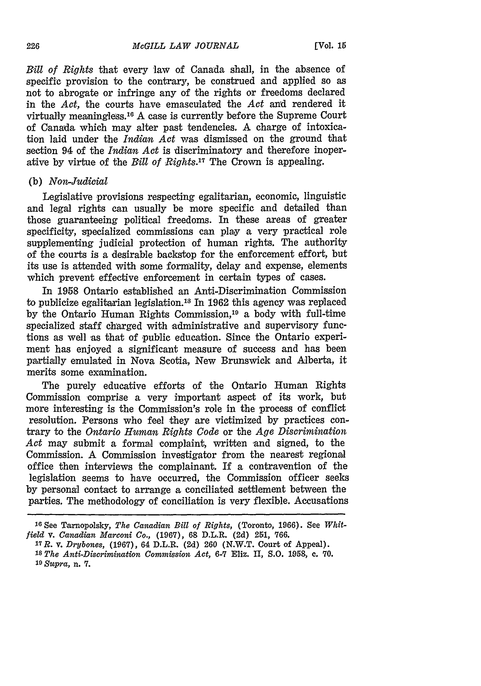*Bill of Rights* that every law of Canada shall, in the absence of specific provision to the contrary, be construed and applied so as not to abrogate or infringe any of the rights or freedoms declared in the *Act,* the courts have emasculated the *Act* and rendered it virtually meaningless. 16 A case is currently before the Supreme Court of Canada which may alter past tendencies. A charge of intoxication laid under the *Indian Act* was dismissed on the ground that section 94 of the *Indian Act* is discriminatory and therefore inoperative by virtue of the *Bill of Rights.17* The Crown is appealing.

#### (b) *Non-Judicial*

Legislative provisions respecting egalitarian, economic, linguistic and legal rights can usually be more specific and detailed than those guaranteeing political freedoms. In these areas of greater specificity, specialized commissions can play a very practical role supplementing judicial protection of human rights. The authority of the courts is a desirable backstop for the enforcement effort, but its use is attended with some formality, delay and expense, elements which prevent effective enforcement in certain types of cases.

In **1958** Ontario established an Anti-Discrimination Commission to publicize egalitarian legislation.'8 In 1962 this agency was replaced by the Ontario Human Rights Commission,<sup>19</sup> a body with full-time specialized staff charged with administrative and supervisory functions as well as that of 'public education. Since the Ontario experiment has enjoyed a significant measure of success and has been partially emulated in Nova Scotia, New Brunswick and Alberta, it merits some examination.

The purely educative efforts of the Ontario Human Rights Commission comprise a very important aspect of its work, but more interesting is the Commission's role in the process of conflict resolution. Persons who feel they are victimized by practices contrary to the *Ontario Human Rights Code* or the *Age Discrimination Act* may submit a formal complaint, written and signed, to the Commission. A Commission investigator from the nearest regional office then interviews the complainant. If a contravention of the legislation seems to have occurred, the Commission officer seeks by personal contact to arrange a conciliated settlement between the parties. The methodology of conciliation is very flexible. Accusations

**<sup>16</sup> See** Tarnopolsky, *The Canadian Bill of Rights,* (Toronto, **1966). See** *Whitfield* **V.** *Canadian Marconi Co.,* **(1967), 68 D.L.R. (2d) 251, 766.**

*<sup>17</sup>R. v. Drybones,* **(1967),** 64 D.L.R. **(2d) 260** (N.W.T. **Court** of Appeal).

*Is The Anti-Discrimination Commission Act,* **6-7** Eliz. **II,** *S.O. 1958,* **c. 70.** *<sup>19</sup>Supra, n.* **7.**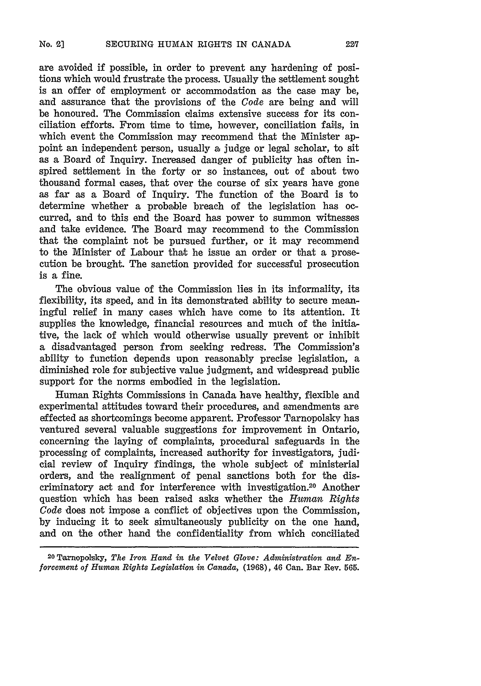are avoided if possible, in order to prevent any hardening of positions which would frustrate the process. Usually the settlement sought is an offer of employment or accommodation as the case may be, and assurance that the provisions of the *Code* are being and will be honoured. The Commission claims extensive success for its conciliation efforts. From time to time, however, conciliation fails, in which event the Commission may recommend that the Minister appoint an independent person, usually a judge or legal scholar, to sit as a Board of Inquiry. Increased danger of publicity has often inspired settlement in the forty or so instances, out of about two thousand formal cases, that over the course of six years have gone as far as a Board of Inquiry. The function of the Board is to determine whether a probable breach of the legislation has occurred, and to this end the Board has power to summon witnesses and take evidence. The Board may recommend to the Commission that the complaint not be pursued further, or it may recommend to the Minister of Labour that he issue an order or that a prosecution be brought. The sanction provided for successful prosecution is a fine.

The obvious value of the Commission lies in its informality, its flexibility, its speed, and in its demonstrated ability to secure meaningful relief in many cases which have come to its attention. It supplies the knowledge, financial resources and much of the initiative, the lack of which would otherwise usually prevent or inhibit a disadvantaged person from seeking redress. The Commission's ability to function depends upon reasonably precise legislation, a diminished role for subjective value judgment, and widespread public support for the norms embodied in the legislation.

Human Rights Commissions in Canada have healthy, flexible and experimental attitudes toward their procedures, and anendments are effected as shortcomings become apparent. Professor Tarnopolskv has ventured several valuable suggestions for improvement in Ontario, concerning the laying of complaints, procedural safeguards in the processing of complaints, increased authority for investigators, judicial review of Inquiry findings, the whole subject of ministerial orders, and the realignment of penal sanctions both for the discriminatory act and for interference with investigation.<sup>20</sup> Another question which has been raised asks whether the *Human Rights Code* does not impose a conflict of objectives upon the Commission, by inducing it to seek simultaneously publicity on the one hand, and on the other hand the confidentiality from which conciliated

2o Tanopolsky, *The Iron Hand in the Velvet Glove: Administration and Enforeement of Human Rights Legislation in Canada,* **(1968),** 46 Can. Bar Rev. 565.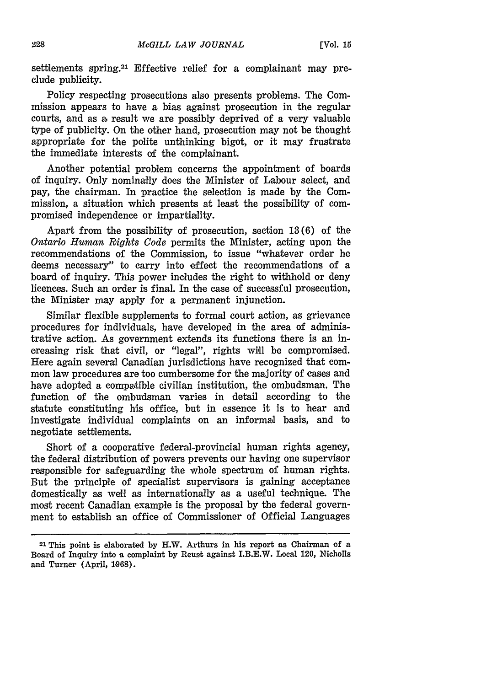settlements spring.<sup>21</sup> Effective relief for a complainant may preclude publicity.

Policy respecting prosecutions also presents problems. The Commission appears to have a bias against prosecution in the regular courts, and as a, result we are possibly deprived of a very valuable type of publicity. On the other hand, prosecution may not be thought appropriate for the polite unthinking bigot, or it may frustrate the immediate interests of the complainant.

Another potential problem concerns the appointment of boards of inquiry. Only nominally does the Minister of Labour select, and pay, the chairman. In practice the selection is made **by** the Commission, a situation which presents at least the possibility of compromised independence or impartiality.

Apart from the possibility of prosecution, section **13(6)** of the *Ontario Human Rights Code* permits the Minister, acting upon the recommendations of the Commission, to issue "whatever order he deems necessary" to carry into effect the recommendations of a board of inquiry. This power includes the right to withhold or deny licences. Such an order is final. In the case of successful prosecution, the Minister may apply for a permanent injunction.

Similar flexible supplements to formal court action, as grievance procedures for individuals, have developed in the area of administrative action. As government extends its functions there is an increasing risk that civil, or "legal", rights will be compromised. Here again several Canadian jurisdictions have recognized that common law procedures are too cumbersome for the majority of cases and have adopted a compatible civilian institution, the ombudsman. The function of the ombudsman varies in detail according to the statute constituting his office, but in essence it is to hear and investigate individual complaints on an informal basis, and to negotiate settlements.

Short of a cooperative federal-provincial human rights agency, the federal distribution of powers prevents our having one supervisor responsible for safeguarding the whole spectrum of human rights. But the principle of specialist supervisors is gaining acceptance domestically as well as internationally as a useful technique. The most recent Canadian example is the proposal by the federal government to establish an office of Commissioner of Official Languages

<sup>21</sup>**This** point is elaborated by H.W. Arthurs in his report as Chairman of a Board of Inquiry into a complaint by Reust against I.B.E.W. Local 120, Nicholls and Turner (April, 1968).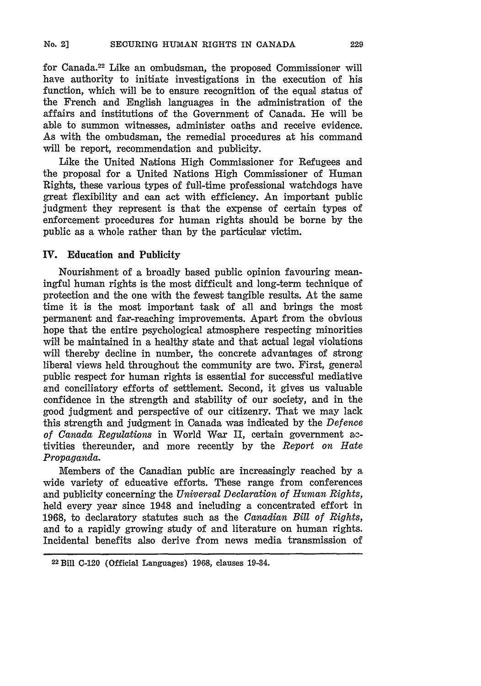for Canada.22 Like an ombudsman, the proposed Commissioner will have authority to initiate investigations in the execution of his function, which will be to ensure recognition of the equal status of the French and English languages in the administration of the affairs and institutions of the Government of Canada. He will be able to summon witnesses, administer oaths and receive evidence. As with the ombudsman, the remedial procedures at his command will be report, recommendation and publicity.

Like the United Nations High Commissioner for Refugees and the proposal for a United Nations High Commissioner of Human Rights, these various types **of** full-time professional watchdogs have great flexibility and can act with efficiency. An important public judgment they represent is that the expense of certain types of enforcement procedures for human rights should be borne **by** the public as a whole rather than **by** the particular victim.

## IV. Education **and Publicity**

Nourishment of a broadly based public opinion favouring meaningful human rights is the most difficult and long-term technique of protection and the one with the fewest tangible results. At the same time it is the most important task of all and brings the most permanent and far-reaching improvements. Apart from the obvious hope that the entire psychological atmosphere respecting minorities will be maintained in a healthy state and that actual legal violations will thereby decline in number, the concrete advantages of strong liberal views held throughout the community are two. First, genera'l public respect for human rights is essential for successful mediative and conciliatory efforts of settlement. Second, it gives us valuable confidence in the strength and stability of our society, and in the good judgment and perspective of our citizenry. That we may lack this strength and judgment in Canada was indicated **by** the *Defence of Canada Regulations* in World *Wax* II, certain government a2 tivities thereunder, and more recently by the *Report on Hate Propaganda.*

Members of the Canadian public are increasingly reached by a wide variety of educative efforts. These range from conferences and publicity concerning the *Universal Declaration of Human Rights,* held every year since 1948 and including a concentrated effort in 1968, to declaratory statutes such as the *Canadian Bill of Rights,* and to a rapidly growing study of and literature on human rights. Incidental benefits also derive from news media transmission of

**<sup>22</sup>** Bill C-120 (Official Languages) **1968,** clauses 19-34.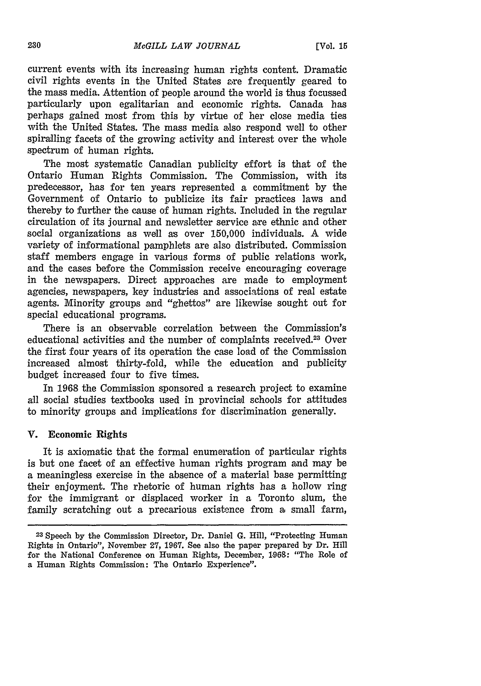current events with its increasing human rights content. Dramatic civil rights events in the United States are frequently geared to the mass media. Attention of people around the world is thus focussed particularly upon egalitarian and economic rights. Canada has perhaps gained most from this **by** virtue of her close media ties with the United States. The mass media also respond well to other spiralling facets of the growing activity and interest over the whole spectrum of human rights.

The most systematic Canadian publicity effort is that of the Ontario Human Rights Commission. The Commission, with its predecessor, has for ten years represented a commitment **by** the Government of Ontario to publicize its fair practices laws and thereby to further the cause of human rights. Included in the regular circulation of its journal and newsletter service are ethnic and other social organizations as well as over **150,000** individuals. A wide variety of informational pamphlets are also distributed. Commission staff members engage in various forms of public relations work, and the cases before the Commission receive encouraging coverage in the newspapers. Direct approaches are made to employment agencies, newspapers, key industries and associations of real estate agents. Minority groups and "ghettos" are likewise sought out for special educational programs.

There is an observable correlation between the Commission's educational activities and the number of complaints received.<sup>23</sup> Over the first four years of its operation the case load of the Commission increased almost thirty-fold, while the education and publicity budget increased four to five times.

In **1968** the Commission sponsored a research project to examine all social studies textbooks used in provincial schools for attitudes to minority groups and implications for discrimination generally.

### V. Economic Rights

It is axiomatic that the formal enumeration of particular rights is but one facet of an effective human rights program and may be a meaningless exercise in the absence of a material base permitting their enjoyment. The rhetoric of human rights has a hollow ring for the immigrant or displaced worker in a Toronto slum, the family scratching out a precarious existence from a small farm,

**<sup>23</sup>**Speech **by** the Commission Director, Dr. Daniel **G.** Hill, "Protecting Human Rights in Ontario", November **27, 1967.** See also the paper prepared **by** Dr. Hill for the National Conference on Human Rights, December, **1.968:** "The Role of a Human Rights Commission: The Ontario Experience".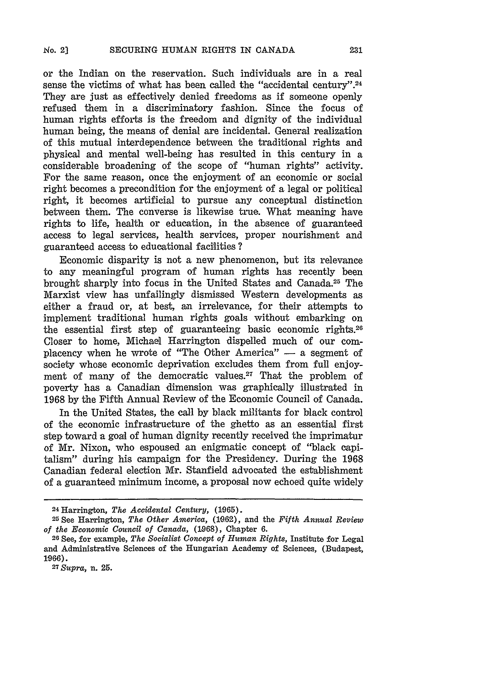or the Indian on the reservation. Such individuals are in a real sense the victims of what has been called the "accidental century".<sup>24</sup> They are just as effectively denied freedoms as if someone openly refused them in a discriminatory fashion. Since the focus of human rights efforts is the freedom and dignity of the individual human being, the means of denial are incidental. General realization of this mutual interdependence between the traditional rights and physical and mental well-being has resulted in this century in a considerable broadening of the scope of "human rights" activity. For the same reason, once the enjoyment of an economic or social right becomes a precondition for the enjoyment of a legal or political right, it becomes artificial to pursue any conceptual distinction between them. The converse is likewise true. What meaning have rights to life, health or education, in the absence of guaranteed access to legal services, health services, proper nourishment and guaranteed access to educational facilities **?**

Economic disparity is not a new phenomenon, but its relevance to any meaningful program of human rights has recently been brought sharply into focus in the United States and Canada.25 The Marxist view has unfailingly dismissed Western developments as either a fraud or, at best, an irrelevance, for their attempts to implement traditional human rights goals without embarking on the essential first step of guaranteeing basic economic rights.20 Closer to home, Michael Harrington dispelled much of our complacency when he wrote of "The Other America"  $-$  a segment of society whose economic deprivation excludes them from full enjoyment of many of the democratic values.<sup>27</sup> That the problem of poverty has a Canadian dimension was graphically illustrated in 1968 by the Fifth Annual Review of the Economic Council of Canada.

In the United States, the call by black militants for black control of the economic infrastructure of the ghetto as an essential first step toward a goal of human dignity recently received the imprimatur of Mr. Nixon, who espoused an enigmatic concept of "black capitalism" during his campaign for the Presidency. During the 1968 Canadian federal election Mr. Stanfield advocated the establishment of a guaranteed minimum income, a proposal now echoed quite widely

<sup>24</sup> Harrington, *The Accidental Century,* (1965).

<sup>25</sup> See Harrington, *The Other America,* (1962), and the *Fifth Annual Review of the Economic Council of Canada,* **(1968),** Chapter 6.

<sup>2</sup> 6 See, for example, *The Socialist Concept of Human Rights,* Institute for Legal and Administrative Sciences of the Hungarian Academy of Sciences, (Budapest, 1966). *<sup>27</sup> Supra,* n. 25.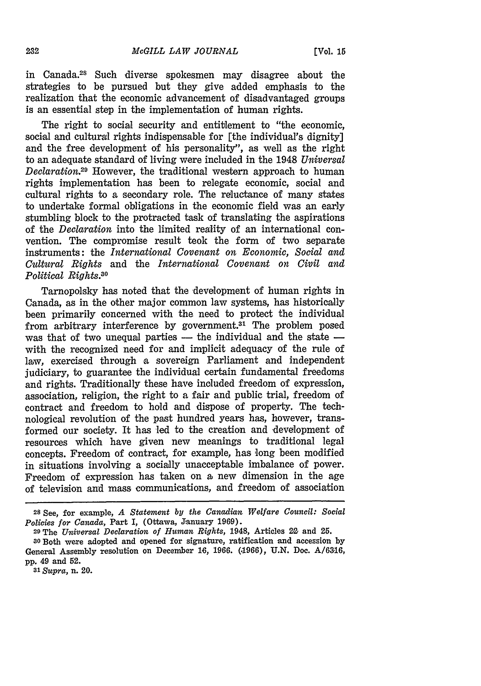in Canada.28 Such diverse spokesmen may disagree about the strategies to be pursued but they give added emphasis to the realization that the economic advancement of disadvantaged groups is an essential step in the implementation of human rights.

The right to social security and entitlement to "the economic. social and cultural rights indispensable for [the individual's dignity] and the free development of his personality", as well as the right to an adequate standard of living were included in the 1948 *Universal Declaration.29* However, the traditional western approach to human rights implementation has been to relegate economic, social and cultural rights to a secondary role. The reluctance of many states to undertake formal obligations in the economic field was an early stumbling block to the protracted task of translating the aspirations of the *Declaration* into the limited reality of an international convention. The compromise result took the form of two separate instruments: the *International Covenant on Economic, Social and Cultural Rights* and the *International Covenant on Civil and Political Rights.30*

Tarnopolsky has noted that the development of human rights in Canada, as in the other major common law systems, has historically been primarily concerned with the need to protect the individual from arbitrary interference by government.<sup>31</sup> The problem posed was that of two unequal parties  $-$  the individual and the state  $$ with the recognized need for and implicit adequacy of the rule of law, exercised through a sovereign Parliament and independent judiciary, to guarantee the individual certain fundamental freedoms and rights. Traditionally these have included freedom of expression, association, religion, the right to a fair and public trial, freedom of contract and freedom to hold and dispose of property. The technological revolution of the past hundred years has, however, transformed our society. It has led to the creation and development of resources which have given new meanings to traditional legal concepts. Freedom of contract, for example, has long been modified in situations involving a socially unacceptable imbalance of power. Freedom of expression has taken on a new dimension in the age of television and mass communications, and freedom of association

29 The *Universal Declaration of Human Rights,* 1948, Articles 22 and 25.

*<sup>31</sup>Supra,* n. 20.

<sup>28</sup> See, for example, *A Statement by the Canadian Welfare Council: Social Policies for Canada,* Part I, (Ottawa, January 1969).

<sup>3</sup>oBoth were adopted and opened for signature, ratification and accession by General Assembly resolution on December 16, 1966. (1966), U.N. Doc. A/6316, pp. 49 and 52.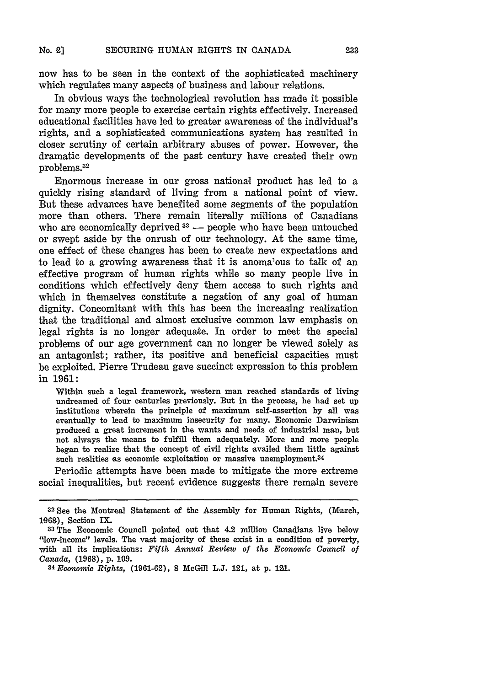now has to be seen in the context of the sophisticated machinery which regulates many aspects of business and labour relations.

In obvious ways the technological revolution has made it possible for many more people to exercise certain rights effectively. Increased educational facilities have led to greater awareness of the individual's rights, and a sophisticated communications system has resulted in closer scrutiny of certain arbitrary abuses of power. However, the dramatic developments of the past century have created their own problems. <sup>32</sup>

Enormous increase in our gross national product has led to a quickly rising standard of living from a national point of view. But these advances have benefited some segments of the population more than others. There remain literally millions of Canadians who are economically deprived <sup>33</sup> - people who have been untouched or swept aside by the onrush of our technology. At the same time, one effect of these changes has been to create new expectations and to lead to a growing awareness that it is anomalous to talk of an effective program of human rights while so many people live in conditions which effectively deny them access to such rights and which in themselves constitute a negation of any goal of human dignity. Concomitant with this has been the increasing realization that the traditional and almost exclusive common law emphasis on legal rights is no longer adequate. In order to meet the special problems of our age government can no longer be viewed solely as an antagonist; rather, its positive and beneficial capacities must be exploited. Pierre Trudeau gave succinct expression to this problem in **1961:**

Within such a legal framework, western man reached standards of living undreamed of four centuries previously. But in the process, he had set up institutions wherein the principle of maximum self-assertion by all was eventually to lead to maximum insecurity for many. Economic Darwinism produced a great increment in the wants and needs of industrial man, but not always the means to fulfill them adequately. More and more people began to realize that the concept of civil rights availed them little against such realities as economic exploitation or massive unemployment.<sup>34</sup>

Periodic attempts have been made to mitigate the more extreme social inequalities, but recent evidence suggests there remain severe

<sup>32</sup>See the Montreal Statement of the Assembly for Human Rights, (March, **1968),** Section IX.

**<sup>33</sup>The** Economic Council pointed out that 4.2 million Canadians live below "low-income" levels. The vast majority of these exist in a condition of poverty, with all its implications: *Fifth Annual Review of the Economic Council of Canada,* (1968), p. **109.**

*<sup>34</sup> Economic Rights,* (1961-62), **8** McGill L.J. 121, at p. 121.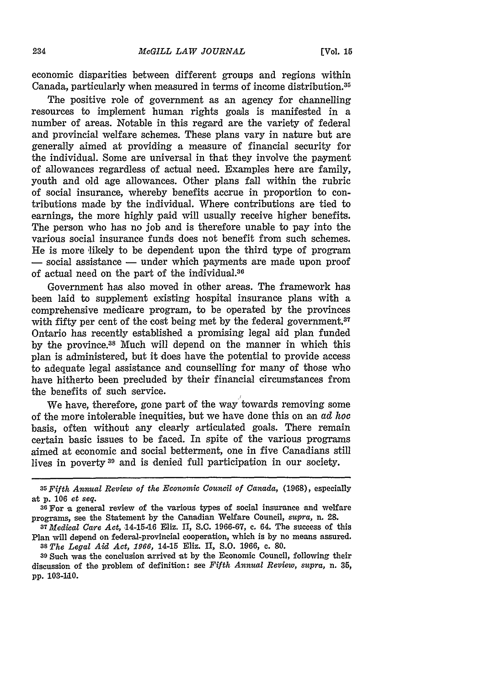economic disparities between different groups and regions within Canada, particularly when measured in terms of income distribution.<sup>35</sup>

The positive role of government as an agency for channelling resources to implement human rights goals is manifested in a number of areas. Notable in this regard are the variety of federal and provincial welfare schemes. These plans vary in nature but are generally aimed at providing a measure of financial security for the individual. Some are universal in that they involve the payment of allowances regardless of actual need. Examples here are family, youth and old age allowances. Other plans fall within the rubric of social insurance, whereby benefits accrue in proportion to contributions made **by** the individual. Where contributions are tied to earnings, the more **highly** paid will usually receive higher benefits. The person who has no **job** and is therefore unable to pay into the various social insurance funds does not benefit from such schemes. He is more likely to be dependent upon the third type of program  $-$  social assistance  $-$  under which payments are made upon proof of actual need on the part of the individual.<sup>36</sup>

Government has also moved in other areas. The framework has been laid to supplement existing hospital insurance plans with a comprehensive medicare program, to be operated **by** the provinces with fifty per cent of the cost being met by the federal government.<sup>37</sup> Ontario has recently established a promising legal aid plan funded **by** the province.38 Much will depend on the manner in which this plan is administered, but it does have the potential to provide access to adequate legal assistance and counselling for many of those who have hitherto been precluded **by** their financial circumstances from the benefits of such service.

We have, therefore, gone part of the way towards removing some of the more intolerable inequities, but we have done this on an *ad hoc* basis, often without any clearly articulated goals. There remain certain basic issues to be faced. In spite of the various programs aimed at economic and social betterment, one in five Canadians still lives in poverty<sup>39</sup> and is denied full participation in our society.

*<sup>35</sup>Fifth Annual Review of the Economic Council of Canada,* (1.968), especially at p. 106 et *seq.*

**<sup>36</sup>**For a general review of the various types of social insurance and welfare programs, see the Statement by the Canadian Welfare Council, *supra,* n. 28.

*<sup>37</sup>Medical Care Act,* **14-15A6** Eliz. II, S.C. 1966-67, c. 64. The success of this Plan will depend on federal-provincial cooperation, which is by no means assured. **<sup>38</sup>***The Legal Aid Act, 1966,* 14-15 Eliz. II, *S.O.* **1966,** c. 80.

**<sup>39</sup>**Such was the conclusion arrived at by the Economic Council, following their discussion of the problem of definition: see *Fifth Annual Review, supra,* n. 35, pp. **103-AO.**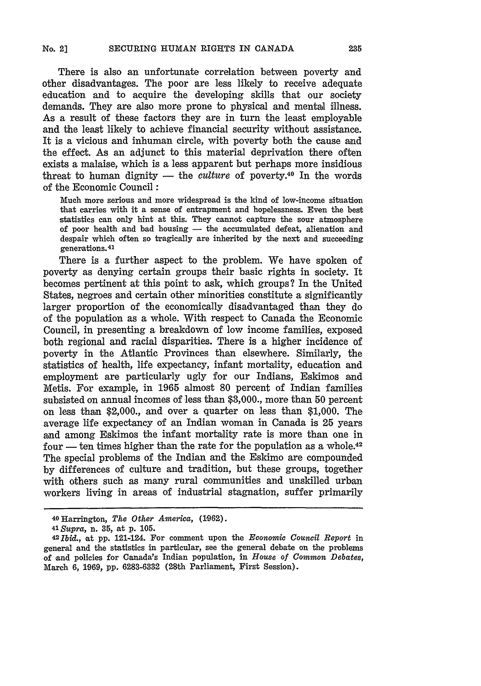There is also an unfortunate correlation between poverty and other disadvantages. The poor are less likely to receive adequate education and to acquire the developing skills that our society demands. They are also more prone to physical and mental illness. As a result of these factors they are in turn the least employable and the least likely to achieve financial security without assistance. It is a vicious and inhuman circle, with poverty both the cause and the effect. As an adjunct to this material deprivation there often exists a malaise, which is a less apparent but perhaps more insidious threat to human dignity  $-$  the *culture* of poverty.<sup>40</sup> In the words of the Economic Council:

Much more serious and more widespread is the kind of low-income situation that carries with it a sense of entrapment and hopelessness. Even the best statistics can only hint at this. They cannot capture the sour atmosphere of poor health and bad housing - the accumulated defeat, alienation and despair which often so tragically are inherited **by** the next and succeeding generations.41

There is a further aspect to the problem. We have spoken of poverty as denying certain groups their basic rights in society. It becomes pertinent at this point to ask, which groups? In the United States, negroes and certain other minorities constitute a significantly larger proportion of the economically disadvantaged than they do of the population as a whole. With respect to Canada the Economic Council, in presenting a breakdown of low income families, exposed both regional and racial disparities. There is a higher incidence of poverty in the Atlantic Provinces than elsewhere. Similarly, the statistics of health, life expectancy, infant mortality, education and employment are particularly ugly for our Indians, Eskimos and Metis. For example, in **1965** almost **80** percent of Indian families subsisted on annual incomes of less than **\$3,000.,** more than **50** percent on less than \$2,000., and over a quarter on less than **\$1,000.** The average life expectancy of an Indian woman in Canada is **25** years and among Eskimos the infant mortality rate is more than one in four  $-$  ten times higher than the rate for the population as a whole.<sup>42</sup> The special problems of the Indian and the Eskimo are compounded **by** differences of culture and tradition, but these groups, together with others such as many rural communities and unskilled urban workers living in areas of industrial stagnation, suffer primarily

**<sup>40</sup>**Harrington, *The Other America,* **(1062).**

**<sup>41</sup>***Supra,* n. **35,** at **p. 105.**

**<sup>42</sup>***Ibid.,* at **pp.** 121-124. For comment upon the Economic *Council Report* in general and the statistics in particular, see the general debate on the problems of and policies for Canada's Indian population, in *House of Common Debates,* March **6, 1969, pp. 6283-6332** (29th Parliament, First Session).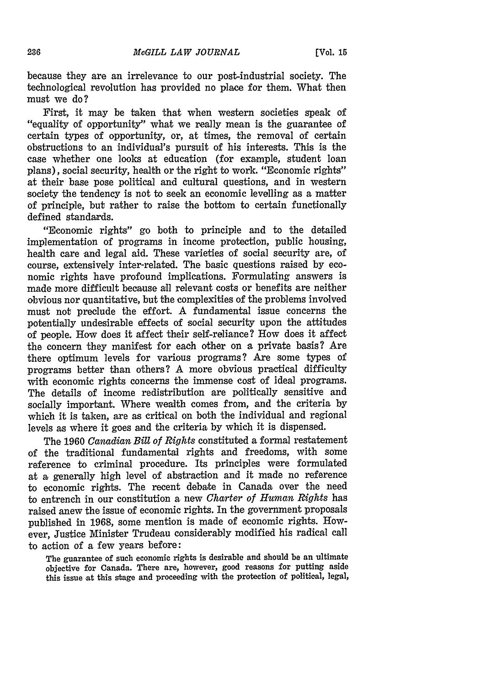because they are an irrelevance to our post-industrial society. The technological revolution has provided no place for them. What then must we do?

First, it may be taken that when western societies speak of "equality of opportunity" what we really mean is the guarantee of certain types of opportunity, or, at times, the removal of certain obstructions to an individual's pursuit of his interests. This is the case whether one looks at education (for example, student loan plans), social security, health or the right to work. "Economic rights" at their base pose political and cultural questions, and in western society the tendency is not to seek an economic levelling as a matter of principle, but rather to raise the bottom to certain functionally defined standards.

"Economic rights" go both to principle and to the detailed implementation of programs in income protection, public housing, health care and legal aid. These varieties of social security are, of course, extensively inter-related. The basic questions raised by economic rights have profound implications. Formulating answers is made more difficult because all relevant costs or benefits are neither obvious nor quantitative, but the complexities of the problems involved must not preclude the effort. A fundamental issue concerns the potentially undesirable effects of social security upon the attitudes of people. How does it affect their self-reliance? How does it affect the concern they manifest for each other on a private basis? Are there optimum levels for various programs? Are some types of programs better than others? A more obvious practical difficulty with economic rights concerns the immense cost of ideal programs. The details of income redistribution are politically sensitive and socially important. Where wealth comes from, and the criteria by which it is taken, are as critical on both the individual and regional levels as where it goes and the criteria by which it is dispensed.

The 1960 *Canadian Bill of Rights* constituted a formal restatement of the traditional fundamental rights and freedoms, with some reference to criminal procedure. Its principles were formulated at a generally high level of abstraction and it made no reference to economic rights. The recent debate in Canada over the need to entrench in our constitution a new *Charter of Human Rights* has raised anew the issue of economic rights. In the government proposals published in **1968,** some mention is made of economic rights. However, Justice Minister Trudeau considerably modified his radical call to action of a few years before:

**The guarantee of such economic rights is desirable and should be an** ultimate objective **for Canada. There are, however, good reasons for putting aside this issue at this** stage **and proceeding** with **the protection of political, legal,**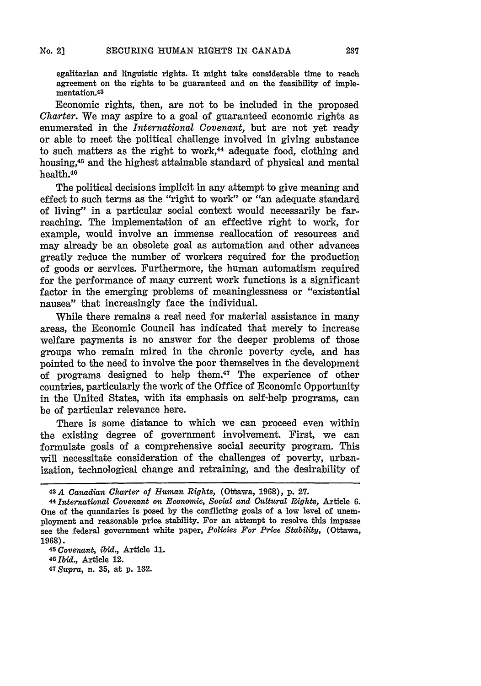egalitarian and linguistic rights. It might take considerable time to reach agreement on the rights to be guaranteed and on the feasibility of implementation.<sup>43</sup>

Economic rights, then, are not to be included in the proposed *Charter.* We may aspire to a goal of guaranteed economic rights as enumerated in the *International Covenant,* but are not yet ready or able to meet the political challenge involved in giving substance to such matters as the right to work, $44$  adequate food, clothing and housing,45 and the highest attainable standard of physical and mental health.<sup>46</sup>

The political decisions implicit in any attempt to give meaning and effect to such terms as the "right to work" or "an adequate standard of living" in a particular social context would necessarily be farreaching. The implementation of an effective right to work, for example, would involve an immense reallocation of resources and may already be an obsolete goal as automation and other advances greatly reduce the number of workers required for the production of goods or services. Furthermore, the human automatism required for the performance of many current work functions is a significant factor in the emerging problems of meaninglessness or "existential nausea" that increasingly face the individual.

While there remains a real need for material assistance in many areas, the Economic Council has indicated that merely to increase welfare payments is no answer for the deeper problems of those groups who remain mired in the chronic poverty cycle, and has pointed to the need to involve the poor themselves in the development of programs designed to help them.47 The experience of other countries, particularly the work of the Office of Economic Opportunity in the United States, with its emphasis on self-help programs, can be of particular relevance here.

There is some distance to which we can proceed even within the existing degree of government involvement. First, we can formulate goals of a comprehensive social security program. This will necessitate consideration of the challenges of poverty, urbanization, technological change and retraining, and the desirability of

<sup>43</sup>A *Canadian Charter of Human Rights,* (Ottawa, 1968), **p. 27.**

**<sup>44</sup>***Inter-national Covenant on Economic, Social and Cultural Rights,* Article **6.** One of the quandaries is posed by the conflicting goals of a low level of unemployment and reasonable price stability. For an attempt to resolve this impasse see the federal government white paper, *Policies For Price Stability,* (Ottawa, **1968).**

**<sup>45</sup>***Covenant, ibid.,* Article **11.**

**<sup>40</sup>***Ibid.,* Article 12.

*<sup>47</sup> Supra,* n. **35,** at **p.** 132.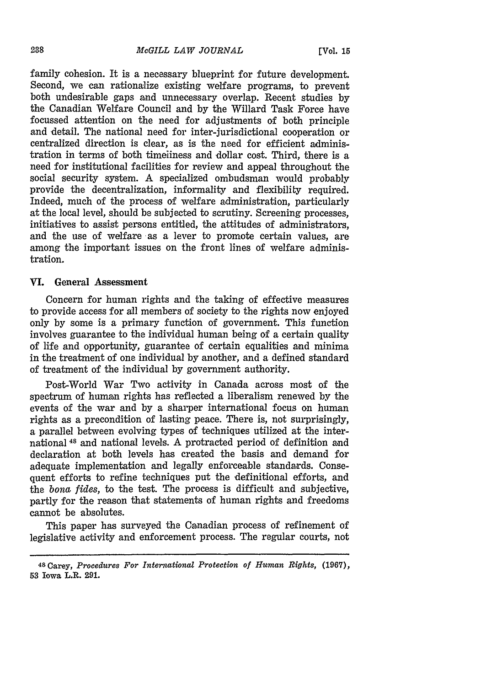family cohesion. It is a necessary blueprint for future development. Second, we can rationalize existing welfare programs, to prevent both undesirable gaps and unnecessary overlap. Recent studies by the Canadian Welfare Council and by the Willard Task Force have focussed attention on the need for adjustments of both principle and detail. The national need for inter-jurisdictional cooperation or centralized direction is clear, as is the need for efficient administration in terms of both timeiiness and dollar cost. Third, there is a need for institutional facilities for review and appeal throughout the social security system. A specialized ombudsman would probably provide the decentralization, informality and flexibility required. Indeed, much of the process of welfare administration, particularly at the local level, should be subjected to scrutiny. Screening processes, initiatives to assist persons entitled, the attitudes of administrators, and the use of welfare as a lever to promote certain values, are among the important issues on the front lines of welfare administration.

#### **VI. General Assessment**

Concern for human rights and the taking of effective measures to provide access for all members of society to the rights now enjoyed only by some is a primary function of government. This function involves guarantee to the individual human being of a certain quality of life and opportunity, guarantee of certain equalities and minima in the treatment of one individual by another, and a defined standard of treatment of the individual by government authority.

Post-World War Two activity in Canada across most of the spectrum of human rights has reflected a liberalism renewed by the events of the war and by a sharper international focus on human rights as a precondition of lasting peace. There is, not surprisingly, a parallel between evolving types of techniques utilized at the international **48** and national levels. A protracted period of definition and declaration at both levels has created the basis and demand for adequate implementation and legally enforceable standards. Consequent efforts to refine techniques put the definitional efforts, and the *bona fides,* to the test. The process is difficult and subjective, partly for the reason that statements of human rights and freedoms cannot be absolutes.

This paper has surveyed the Canadian process of refinement of legislative activity and enforcement process. The regular courts, not

**<sup>4</sup> <sup>8</sup> Carey,** *Procedures For International Protection of Human Rights,* **(1967), 53** Iowa **L.R. 291.**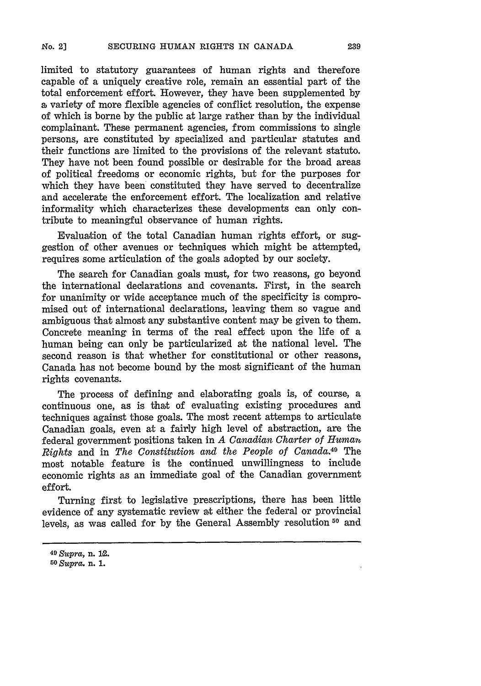limited to statutory guarantees of human rights and therefore capable of a uniquely creative role, remain an essential part of the total enforcement effort. However, they have been supplemented by a variety of more flexible agencies of conflict resolution, the expense of which is borne by the public at large rather than by the individual complainant. These permanent agencies, from commissions to single persons, are constituted by specialized and particular statutes and their functions are limited to the provisions of the relevant statute. They have not been found possible or desirable for the broad areas of political freedoms or economic rights, but for the purposes for which they have been constituted they have served to decentralize and accelerate the enforcement effort. The localization and relative informality which characterizes these developments can only contribute to meaningful observance of human rights.

Evaluation of the total Canadian human rights effort, or suggestion of other avenues or techniques which might be attempted, requires some articulation of the goals adopted by our society.

The search for Canadian goals must, for two reasons, go beyond the international declarations and covenants. First, in the search for unanimity or wide acceptance much of the specificity is compromised out of international declarations, leaving them so vague and ambiguous that almost any substantive content may be given to them. Concrete meaning in terms of the real effect upon the life of a human being can only be particularized at the national level. The second reason is that whether for constitutional or other reasons, Canada has not become bound by the most significant of the human rights covenants.

The process of defining and elaborating goals is, of course, a continuous one, as is that of evaluating existing procedures and techniques against those goals. The most recent attemps to articulate Canadian goals, even at a fairly high level of abstraction, are the federal government positions taken in *A Canadian Charter of Humatn Rights* and in *The Constitution and the People of Canada.49* The most notable feature is the continued unwillingness to include economic rights as an immediate goal of the Canadian government effort.

Turning first to legislative prescriptions, there has been little evidence of any systematic review at either the federal or provincial levels, as was called for by the General Assembly resolution<sup>50</sup> and

<sup>4</sup> <sup>9</sup>*Supra,* **n. I2.**

*<sup>5</sup> <sup>0</sup> Supra.* **n. 1.**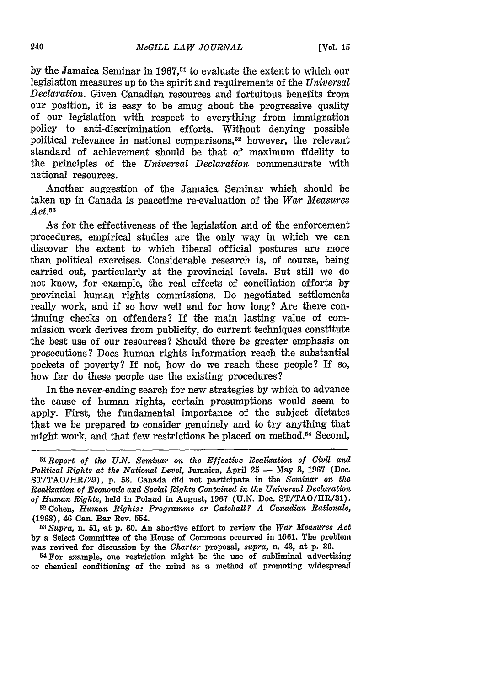**by** the Jamaica Seminar in **1967,<sup>51</sup>**to evaluate the extent to which our legislation measures up to the spirit and requirements **of** the *Universal Declaration.* Given Canadian resources and fortuitous benefits from our position, it is easy to be smug about the progressive quality of our legislation with respect to everything from immigration policy to anti-discrimination efforts. Without denying possible political relevance in national comparisons,<sup>52</sup> however, the relevant standard of achievement should be that of maximum fidelity to the principles of the *Universal Declaration* commensurate with national resources.

Another suggestion of the Jamaica Seminar which should be taken up in Canada is peacetime re-evaluation of the *War Measures Act.5 <sup>3</sup>*

As for the effectiveness of the legislation and of the enforcement procedures, empirical studies are the only way in which we can discover the extent to which liberal official postures are more than political exercises. Considerable research is, of course, being carried out, particularly at the provincial levels. But still we do not know, for example, the real effects of conciliation efforts by provincial human rights commissions. Do negotiated settlements really work, and if so how well and for how long? Are there continuing checks on offenders? If the main lasting value of commission work derives from publicity, do current techniques constitute the best use of our resources? Should there be greater emphasis on prosecutions? Does human rights information reach the substantial pockets of poverty? If not, how do we reach these people? If so, how far do these people use the existing procedures?

In the never-ending search for new strategies by which to advance the cause of human rights, certain presumptions would seem to apply. First, the fundamental importance of the subject dictates that we be prepared to consider genuinely and to try anything that might work, and that few restrictions be placed on method.<sup>54</sup> Second,

**(1968),** 46 Can. Bar Rev. 554.

*<sup>53</sup> Supra,* n. 51, at p. 60. An abortive effort to review the *War Measures Act* by a Select Committee of the House of Commons occurred in **1061.** The problem was revived for discussion by the *Charter* proposal, *supra,* n. 43, at p. **30.**

**54 For** example, one restriction might be the use of subliminal advertising or chemical conditioning of the mind as a method of promoting widespread

*<sup>51</sup>Report of the U.N. Seminar on the Effective Realization of Civil and Political Rights at the National Level,* Jamaica, April **25 -** May **8, 1967** (Doc. ST/TAO/HR/29), p. 58. Canada did not participate in the *Seminar on the Realization of Economic and Social Rights Contained in the Universal Declaration of Human Rights,* held in Poland in August, 1967 (U.N. Doc. ST/TAO/HR/31). <sup>52</sup> Cohen, *Human Rights: Programme or Catchall? A Canadian Rationale,*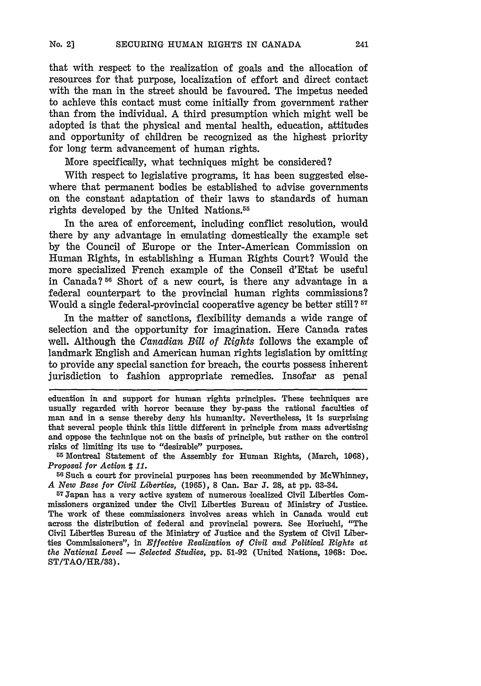that with respect to the realization of goals and the allocation of resources for that purpose, localization of effort and direct contact with the man in the street should be favoured. The impetus needed to achieve this contact must come initially from government rather than from the individual. A third presumption which might well be adopted is that the physical and mental health, education, attitudes and opportunity of children be recognized as the highest priority for long term advancement of human rights.

More specifically, what techniques might be considered?

With respect to legislative programs, it has been suggested elsewhere that permanent bodies be established to advise governments on the constant adaptation of their laws to standards of human rights developed **by** the United Nations.55

In the area of enforcement, including conflict resolution, would there **by** any advantage in emulating domestically the example set **by** the Council of Europe or the Inter-American Commission on Human Rights, in establishing a Human Rights Court? Would the more specialized French example of the Conseil d'Etat be useful in Canada? **51** Short of a new court, is there any advantage in a federal counterpart to the provincial human rights commissions? Would a single federal-provincial cooperative agency be better still ? **<sup>57</sup>**

In the matter of sanctions, flexibility demands a wide range of selection and the opportunity for imagination. Here Canada rates well. Although the *Canadian Bill of Rights* follows the example of landmark English and American human rights legislation by omitting to provide any special sanction for breach, the courts possess inherent jurisdiction to fashion appropriate remedies. Insofar as penal

education in and support for human rights principles. These techniques are usually regarded with horror because they by-pass the rational faculties of man and in a sense thereby deny his humanity. Nevertheless, it is surprising that several people think this little different in principle from mass advertising and oppose the technique not on the basis of principle, but rather on the control risks of limiting its use to "desirable" purposes.

<sup>55</sup> Montreal Statement of the Assembly for Human Rights, (March, 1968), *Proposal for Action* **#** *11.*

56 Such **a** court for provincial purposes has been recommended by McWhinney, *A New Base for Civil Liberties,* (1965), 8 Can. Bar **J.** 29, at pp. 63-34.

57 Tapan has a very active system of numerous 'localized Civil Liberties Commissioners organized under the Civil Liberties Bureau of Ministry of Justice. The work of these commissioners involves areas which in Canada would cut across the distribution of federal and provincial powers. See Horiuchi, "The Civil Liberties Bureau of the Ministry of Justice and the System of Civil Liberties Commissioners", in *Effective Realization of Civil and Political Rights at the National Level* **-** *Selected Studies,* **pp. 51-92** (United Nations, **1.96: Dc.**  $ST/TAO/HR/33$ ).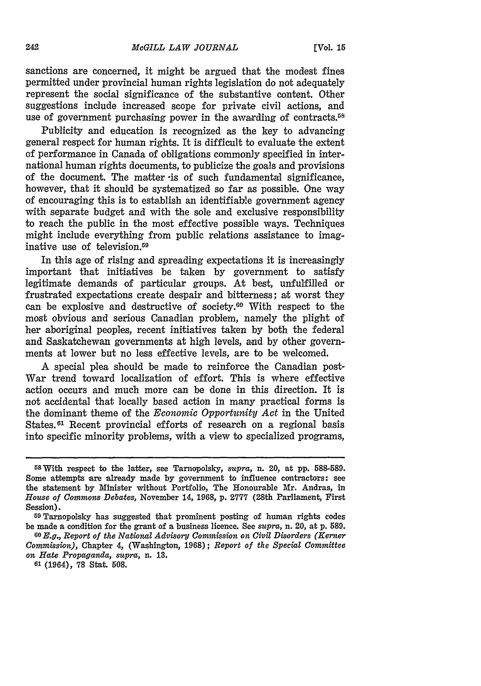sanctions are concerned, it might be argued that the modest fines permitted under provincial human rights legislation do not adequately represent the social significance of the substantive content. Other suggestions include increased scope for private civil actions, and use of government purchasing power in the awarding of contracts.<sup>58</sup>

Publicity and education is recognized as the key to advancing general respect for human rights. It is difficult to evaluate the extent of performance in Canada of obligations commonly specified in international human rights documents, to publicize the goals and provisions of the document. The matter -is of such fundamental significance, however, that it should be systematized so far as possible. One way of encouraging this is to establish an identifiable government agency with separate budget and with the sole and exclusive responsibility to reach the public in the most effective possible ways. Techniques might include everything from public relations assistance to imaginative use of television.<sup>59</sup>

In this age of rising and spreading expectations it is increasingly important that initiatives be taken **by** government to satisfy legitimate demands of particular groups. At best, unfulfilled or frustrated expectations create despair and bitterness; at worst they can be explosive and destructive of society. $60$  With respect to the most obvious and serious Canadian problem, namely the plight of her aboriginal peoples, recent initiatives taken **by** both the federal and Saskatchewan governments at high levels, and **by** other governments at lower but no less effective levels, are to be welcomed.

A special plea should be made to reinforce the Canadian post-War trend toward localization of effort. This is where effective action occurs and much more can be done in this direction. It is not accidental that locally based action in many practical forms is the dominant theme of the *Economic Opportunity Act* in the United States.<sup>61</sup> Recent provincial efforts of research on a regional basis into specific minority problems, with a view to specialized programs,

<sup>58</sup>With respect to the latter, see Tarnopolsky, supra, **n.** 20, at **pp.** 588-589. Some attempts are already made by government to influence contractors: see the statement by Minister without Portfolio, The Honourable Mr. Andras, in *House of Commons Debates,* November 14, 1968, p. **2777** (28th Parliament, First Session).

**<sup>59</sup>**Tarnopolsky has suggested that prominent posting of human rights codes be made a condition for the grant of a business licence. See *supra,* n. 20, at p. 589.

**<sup>60</sup>***E.g., Report of the National Advisory Commission on Civil Disorders (Kerner Commission),* Chapter 4, (Washington, 1968); *Report of the Special Committee on Hate Propaganda, supra,* n. **13.**

**<sup>61</sup>**(1964), **78** Stat. 508.